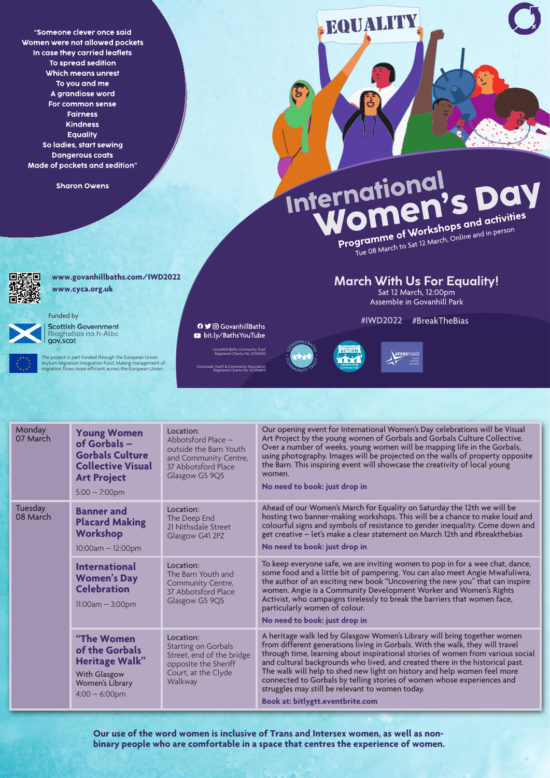"Someone clever once said Women were not allowed pockets In case they carried leaflets To spread sedition Which means unrest To you and me A grandiose word For common sense **Fairness Kindness Equality** So ladies, start sewing **Dangerous coats** Made of pockets and sedition"

**Sharon Owens** 



**EQUALITY** 

## **March With Us For Equality!**

Sat 12 March, 12:00pm **Assemble in Govanhill Park** 

## #IWD2022 #BreakTheBias





**Monday** 07 March **Young Women of Gorbals – Gorbals Culture Collective Visual Art Project** 5:00 – 7:00pm Location: Abbotsford Place – outside the Barn Youth and Community Centre, 37 Abbotsford Place Glasgow G5 9QS Our opening event for International Women's Day celebrations will be Visual Art Project by the young women of Gorbals and Gorbals Culture Collective. Over a number of weeks, young women will be mapping life in the Gorbals, using photography. Images will be projected on the walls of property opposite the Barn. This inspiring event will showcase the creativity of local young women. **No need to book: just drop in** Tuesday<br>08 March **Banner and Placard Making Workshop** 10:00am – 12:00pm Location: The Deep End 21 Nithsdale Street Glasgow G41 2PZ Ahead of our Women's March for Equality on Saturday the 12th we will be hosting two banner-making workshops. This will be a chance to make loud and colourful signs and symbols of resistance to gender inequality. Come down and get creative – let's make a clear statement on March 12th and #breakthebias **No need to book: just drop in**

**International Women's Day**  Location: The Barn Youth and Community Centre, To keep everyone safe, we are inviting women to pop in for a wee chat, dance, some food and a little bit of pampering. You can also meet Angie Mwafuliwra, the author of an exciting new book "Uncovering the new you" that can inspire

| <b>Celebration</b><br>$11:00am - 3:00pm$                                                                                            | COMMITTED CONTE<br>37 Abbotsford Place<br>Glasgow G5 9QS                                                                | women. Angie is a Community Development Worker and Women's Rights<br>Activist, who campaigns tirelessly to break the barriers that women face,<br>particularly women of colour.<br>No need to book: just drop in                                                                                                                                                                                                                                                                                                                                                           |
|-------------------------------------------------------------------------------------------------------------------------------------|-------------------------------------------------------------------------------------------------------------------------|----------------------------------------------------------------------------------------------------------------------------------------------------------------------------------------------------------------------------------------------------------------------------------------------------------------------------------------------------------------------------------------------------------------------------------------------------------------------------------------------------------------------------------------------------------------------------|
| <b>"The Women</b> "<br>of the Gorbals<br><b>Heritage Walk"</b><br><b>With Glasgow</b><br><b>Women's Library</b><br>$4:00 - 6:00$ pm | Location:<br>Starting on Gorbals<br>Street, end of the bridge<br>opposite the Sheriff<br>Court, at the Clyde<br>Walkway | A heritage walk led by Glasgow Women's Library will bring together women<br>from different generations living in Gorbals. With the walk, they will travel<br>through time, learning about inspirational stories of women from various social<br>and cultural backgrounds who lived, and created there in the historical past.<br>The walk will help to shed new light on history and help women feel more<br>connected to Gorbals by telling stories of women whose experiences and<br>struggles may still be relevant to women today.<br>Book at: bitlygtt.eventbrite.com |

**Our use of the word women is inclusive of Trans and Intersex women, as well as nonbinary people who are comfortable in a space that centres the experience of women.**

Govanhill Baths Community Trust Registered Charity No. SC036162

Crossroads Youth & Community Association Registered Charity No. SC006859

The project is part-funded through the European Union Asylum Migration Integration Fund. Making management of migration flows more efficient across the European Union.

**O** y © GovanhillBaths bit.ly/BathsYouTube

**www.govanhillbaths.com/IWD2022 www.cyca.org.uk**

## Funded by



**Scottish Government** Riaghaltas na h-Alba gov.scot